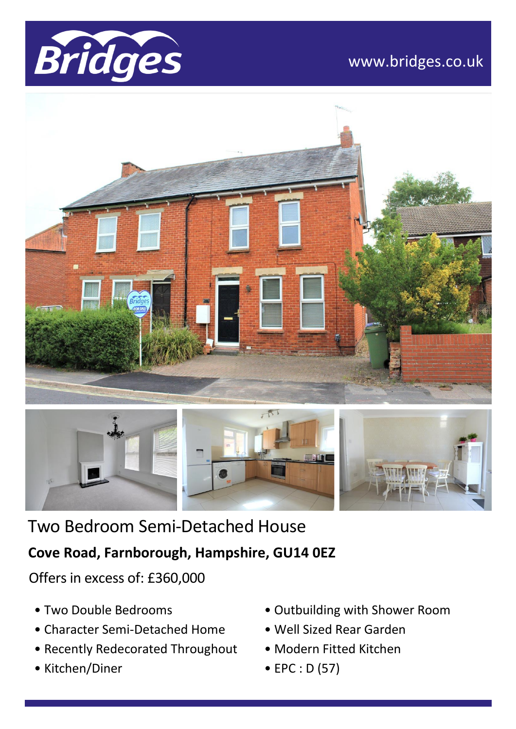

## www.bridges.co.uk





# Two Bedroom Semi-Detached House

### **Cove Road, Farnborough, Hampshire, GU14 0EZ**

Offers in excess of: £360,000

- Two Double Bedrooms
- Character Semi-Detached Home
- Recently Redecorated Throughout
- Kitchen/Diner
- Outbuilding with Shower Room
- Well Sized Rear Garden
- Modern Fitted Kitchen
- EPC : D (57)